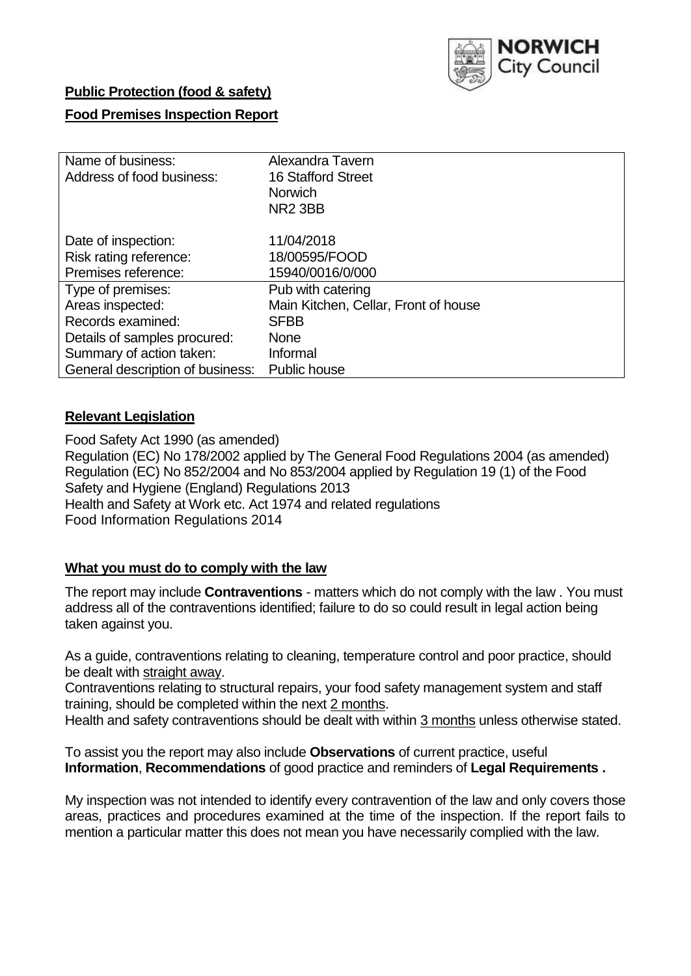

# **Public Protection (food & safety)**

# **Food Premises Inspection Report**

| Name of business:                | Alexandra Tavern                     |
|----------------------------------|--------------------------------------|
| Address of food business:        | <b>16 Stafford Street</b>            |
|                                  | <b>Norwich</b>                       |
|                                  | NR <sub>2</sub> 3BB                  |
| Date of inspection:              | 11/04/2018                           |
| Risk rating reference:           | 18/00595/FOOD                        |
| Premises reference:              | 15940/0016/0/000                     |
| Type of premises:                | Pub with catering                    |
| Areas inspected:                 | Main Kitchen, Cellar, Front of house |
| Records examined:                | <b>SFBB</b>                          |
| Details of samples procured:     | <b>None</b>                          |
| Summary of action taken:         | Informal                             |
| General description of business: | <b>Public house</b>                  |

#### **Relevant Legislation**

Food Safety Act 1990 (as amended) Regulation (EC) No 178/2002 applied by The General Food Regulations 2004 (as amended) Regulation (EC) No 852/2004 and No 853/2004 applied by Regulation 19 (1) of the Food Safety and Hygiene (England) Regulations 2013 Health and Safety at Work etc. Act 1974 and related regulations Food Information Regulations 2014

# **What you must do to comply with the law**

The report may include **Contraventions** - matters which do not comply with the law . You must address all of the contraventions identified; failure to do so could result in legal action being taken against you.

As a guide, contraventions relating to cleaning, temperature control and poor practice, should be dealt with straight away.

Contraventions relating to structural repairs, your food safety management system and staff training, should be completed within the next 2 months.

Health and safety contraventions should be dealt with within 3 months unless otherwise stated.

To assist you the report may also include **Observations** of current practice, useful **Information**, **Recommendations** of good practice and reminders of **Legal Requirements .**

My inspection was not intended to identify every contravention of the law and only covers those areas, practices and procedures examined at the time of the inspection. If the report fails to mention a particular matter this does not mean you have necessarily complied with the law.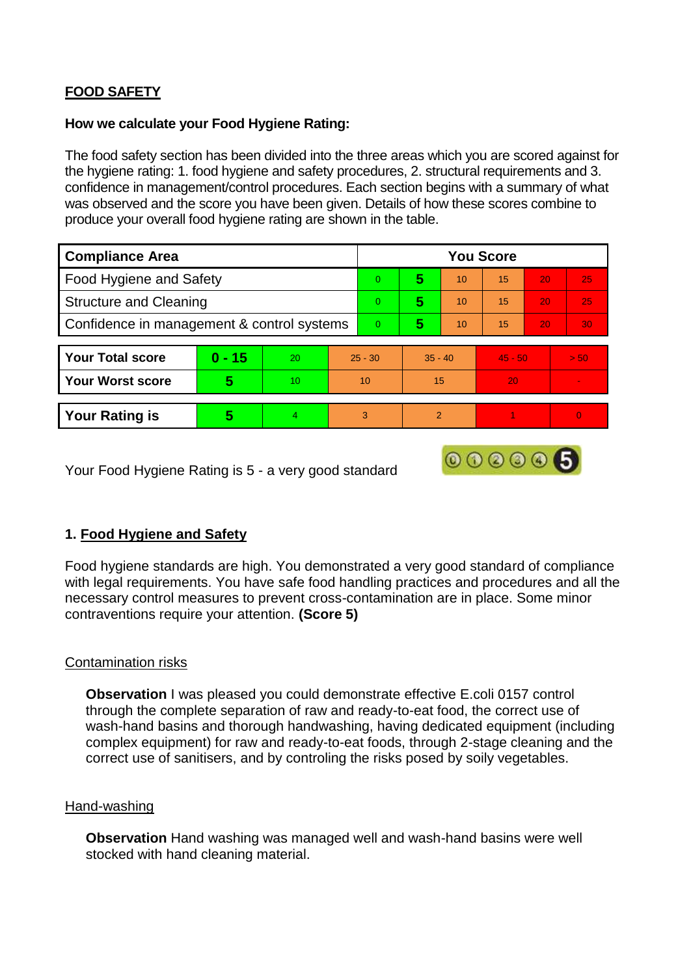# **FOOD SAFETY**

#### **How we calculate your Food Hygiene Rating:**

The food safety section has been divided into the three areas which you are scored against for the hygiene rating: 1. food hygiene and safety procedures, 2. structural requirements and 3. confidence in management/control procedures. Each section begins with a summary of what was observed and the score you have been given. Details of how these scores combine to produce your overall food hygiene rating are shown in the table.

| <b>Compliance Area</b>                     |          |    |          | <b>You Score</b> |               |    |           |    |          |  |  |
|--------------------------------------------|----------|----|----------|------------------|---------------|----|-----------|----|----------|--|--|
| Food Hygiene and Safety                    |          |    |          | $\Omega$         | 5             | 10 | 15        | 20 | 25       |  |  |
| <b>Structure and Cleaning</b>              |          |    | $\Omega$ | 5                | 10            | 15 | 20        | 25 |          |  |  |
| Confidence in management & control systems |          |    | $\Omega$ | 5                | 10            | 15 | 20        | 30 |          |  |  |
|                                            |          |    |          |                  |               |    |           |    |          |  |  |
| <b>Your Total score</b>                    | $0 - 15$ | 20 |          | $25 - 30$        | $35 - 40$     |    | $45 - 50$ |    | > 50     |  |  |
| <b>Your Worst score</b>                    | 5        | 10 |          | 10               | 15            |    | 20        |    |          |  |  |
|                                            |          |    |          |                  |               |    |           |    |          |  |  |
| <b>Your Rating is</b>                      | 5        | 4. |          | 3                | $\mathcal{P}$ |    |           |    | $\Omega$ |  |  |

Your Food Hygiene Rating is 5 - a very good standard

# **1. Food Hygiene and Safety**

Food hygiene standards are high. You demonstrated a very good standard of compliance with legal requirements. You have safe food handling practices and procedures and all the necessary control measures to prevent cross-contamination are in place. Some minor contraventions require your attention. **(Score 5)**

000006

# Contamination risks

**Observation I** was pleased you could demonstrate effective E.coli 0157 control through the complete separation of raw and ready-to-eat food, the correct use of wash-hand basins and thorough handwashing, having dedicated equipment (including complex equipment) for raw and ready-to-eat foods, through 2-stage cleaning and the correct use of sanitisers, and by controling the risks posed by soily vegetables.

# Hand-washing

**Observation** Hand washing was managed well and wash-hand basins were well stocked with hand cleaning material.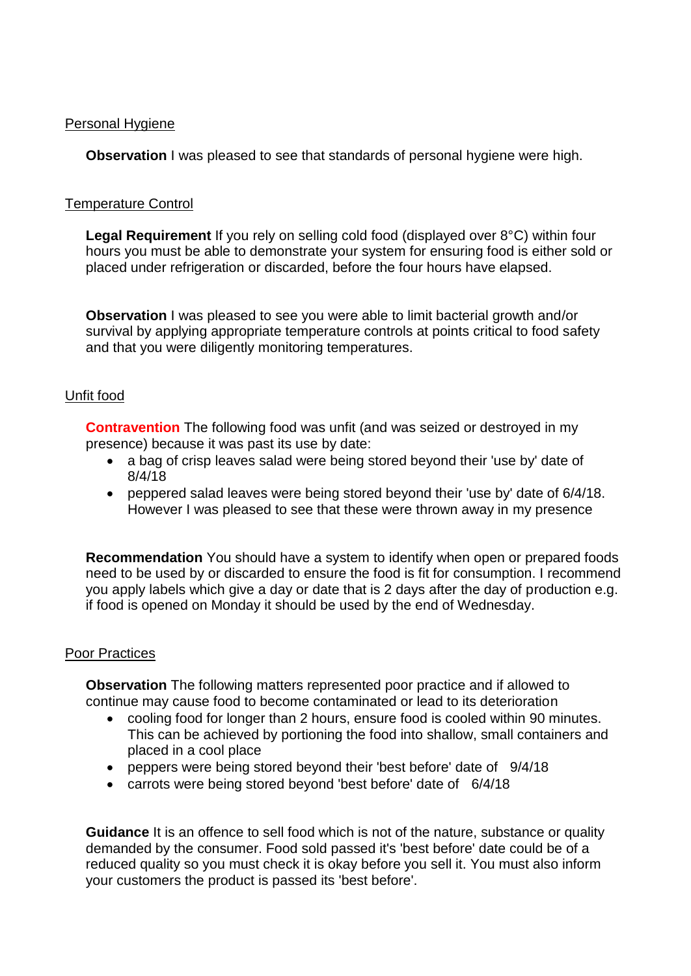#### Personal Hygiene

**Observation** I was pleased to see that standards of personal hygiene were high.

#### Temperature Control

**Legal Requirement** If you rely on selling cold food (displayed over 8°C) within four hours you must be able to demonstrate your system for ensuring food is either sold or placed under refrigeration or discarded, before the four hours have elapsed.

**Observation** I was pleased to see you were able to limit bacterial growth and/or survival by applying appropriate temperature controls at points critical to food safety and that you were diligently monitoring temperatures.

# Unfit food

**Contravention** The following food was unfit (and was seized or destroyed in my presence) because it was past its use by date:

- a bag of crisp leaves salad were being stored beyond their 'use by' date of 8/4/18
- peppered salad leaves were being stored beyond their 'use by' date of 6/4/18. However I was pleased to see that these were thrown away in my presence

**Recommendation** You should have a system to identify when open or prepared foods need to be used by or discarded to ensure the food is fit for consumption. I recommend you apply labels which give a day or date that is 2 days after the day of production e.g. if food is opened on Monday it should be used by the end of Wednesday.

#### Poor Practices

**Observation** The following matters represented poor practice and if allowed to continue may cause food to become contaminated or lead to its deterioration

- cooling food for longer than 2 hours, ensure food is cooled within 90 minutes. This can be achieved by portioning the food into shallow, small containers and placed in a cool place
- peppers were being stored beyond their 'best before' date of 9/4/18
- carrots were being stored beyond 'best before' date of 6/4/18

**Guidance** It is an offence to sell food which is not of the nature, substance or quality demanded by the consumer. Food sold passed it's 'best before' date could be of a reduced quality so you must check it is okay before you sell it. You must also inform your customers the product is passed its 'best before'.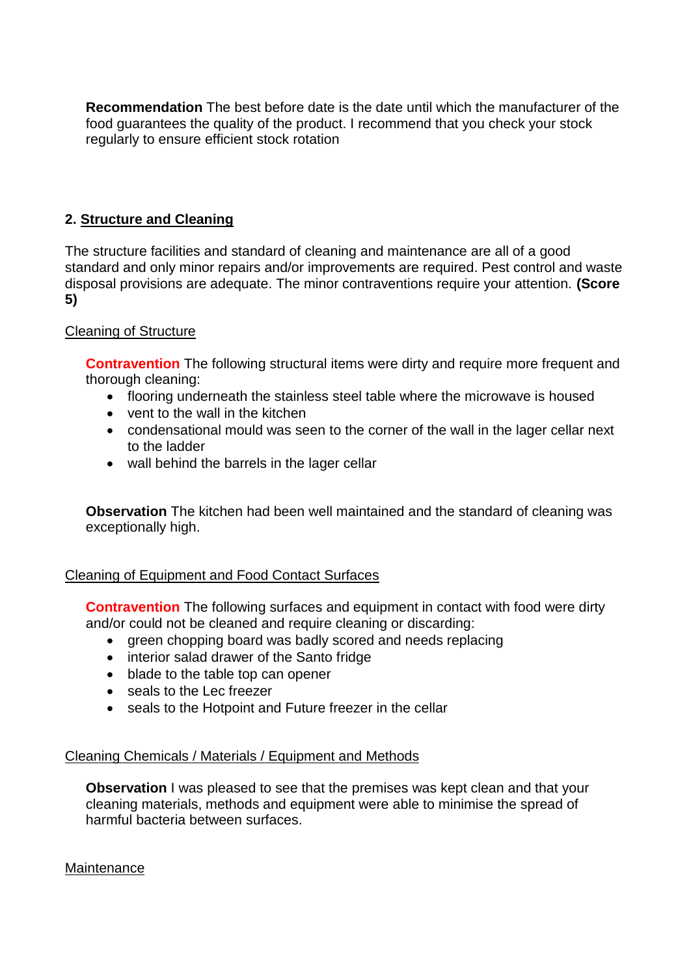**Recommendation** The best before date is the date until which the manufacturer of the food guarantees the quality of the product. I recommend that you check your stock regularly to ensure efficient stock rotation

# **2. Structure and Cleaning**

The structure facilities and standard of cleaning and maintenance are all of a good standard and only minor repairs and/or improvements are required. Pest control and waste disposal provisions are adequate. The minor contraventions require your attention. **(Score 5)**

# Cleaning of Structure

**Contravention** The following structural items were dirty and require more frequent and thorough cleaning:

- flooring underneath the stainless steel table where the microwave is housed
- vent to the wall in the kitchen
- condensational mould was seen to the corner of the wall in the lager cellar next to the ladder
- wall behind the barrels in the lager cellar

**Observation** The kitchen had been well maintained and the standard of cleaning was exceptionally high.

# Cleaning of Equipment and Food Contact Surfaces

**Contravention** The following surfaces and equipment in contact with food were dirty and/or could not be cleaned and require cleaning or discarding:

- green chopping board was badly scored and needs replacing
- interior salad drawer of the Santo fridge
- blade to the table top can opener
- seals to the Lec freezer
- seals to the Hotpoint and Future freezer in the cellar

# Cleaning Chemicals / Materials / Equipment and Methods

**Observation** I was pleased to see that the premises was kept clean and that your cleaning materials, methods and equipment were able to minimise the spread of harmful bacteria between surfaces.

# **Maintenance**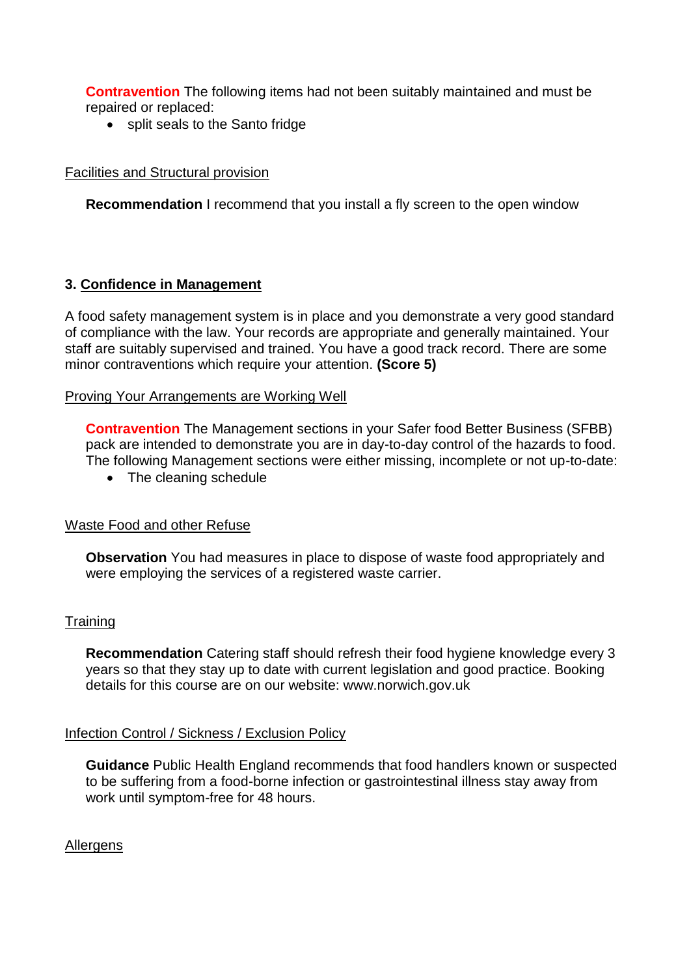**Contravention** The following items had not been suitably maintained and must be repaired or replaced:

• split seals to the Santo fridge

# Facilities and Structural provision

**Recommendation** I recommend that you install a fly screen to the open window

# **3. Confidence in Management**

A food safety management system is in place and you demonstrate a very good standard of compliance with the law. Your records are appropriate and generally maintained. Your staff are suitably supervised and trained. You have a good track record. There are some minor contraventions which require your attention. **(Score 5)**

# Proving Your Arrangements are Working Well

**Contravention** The Management sections in your Safer food Better Business (SFBB) pack are intended to demonstrate you are in day-to-day control of the hazards to food. The following Management sections were either missing, incomplete or not up-to-date:

• The cleaning schedule

# Waste Food and other Refuse

**Observation** You had measures in place to dispose of waste food appropriately and were employing the services of a registered waste carrier.

# **Training**

**Recommendation** Catering staff should refresh their food hygiene knowledge every 3 years so that they stay up to date with current legislation and good practice. Booking details for this course are on our website: www.norwich.gov.uk

#### Infection Control / Sickness / Exclusion Policy

**Guidance** Public Health England recommends that food handlers known or suspected to be suffering from a food-borne infection or gastrointestinal illness stay away from work until symptom-free for 48 hours.

#### **Allergens**